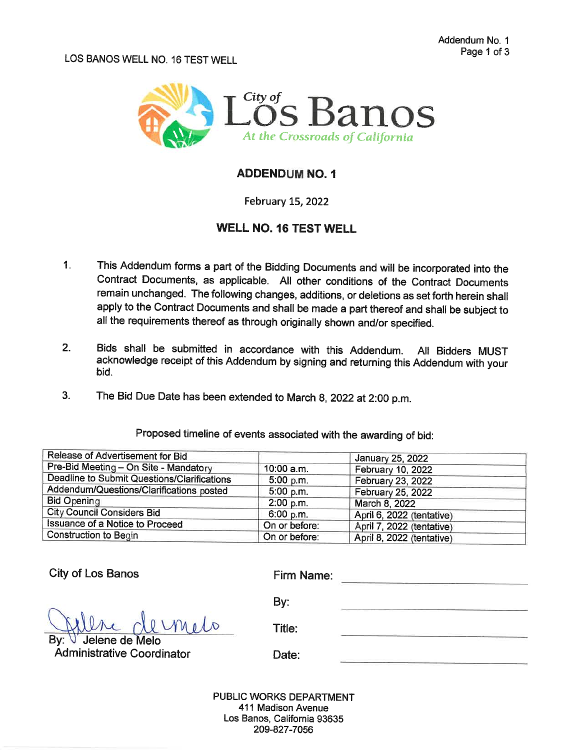LOS BANOS WELL NO. 16 TEST WELL



## **ADDENDUM NO. 1**

#### February 15, 2022

# **WELL NO. 16 TEST WELL**

- $1<sub>1</sub>$ This Addendum forms a part of the Bidding Documents and will be incorporated into the Contract Documents, as applicable. All other conditions of the Contract Documents remain unchanged. The following changes, additions, or deletions as set forth herein shall apply to the Contract Documents and shall be made a part thereof and shall be subject to all the requirements thereof as through originally shown and/or specified.
- $2.$ Bids shall be submitted in accordance with this Addendum. All Bidders MUST acknowledge receipt of this Addendum by signing and returning this Addendum with your bid.
- $3<sub>1</sub>$ The Bid Due Date has been extended to March 8, 2022 at 2:00 p.m.

# Proposed timeline of events associated with the awarding of bid:

| Release of Advertisement for Bid            |               | January 25, 2022          |
|---------------------------------------------|---------------|---------------------------|
| Pre-Bid Meeting - On Site - Mandatory       | 10:00 a.m.    | February 10, 2022         |
| Deadline to Submit Questions/Clarifications | 5:00 p.m.     | February 23, 2022         |
| Addendum/Questions/Clarifications posted    | 5:00 p.m.     | February 25, 2022         |
| <b>Bid Opening</b>                          | 2:00 p.m.     | March 8, 2022             |
| <b>City Council Considers Bid</b>           | 6:00 p.m.     | April 6, 2022 (tentative) |
| <b>Issuance of a Notice to Proceed</b>      | On or before: | April 7, 2022 (tentative) |
| <b>Construction to Begin</b>                | On or before: | April 8, 2022 (tentative) |

**City of Los Banos** 

Jelene de M **Administrative Coordinator** 

| Firm Name: |  |
|------------|--|
| By:        |  |
| Title:     |  |
| Date:      |  |

PUBLIC WORKS DEPARTMENT 411 Madison Avenue Los Banos, California 93635 209-827-7056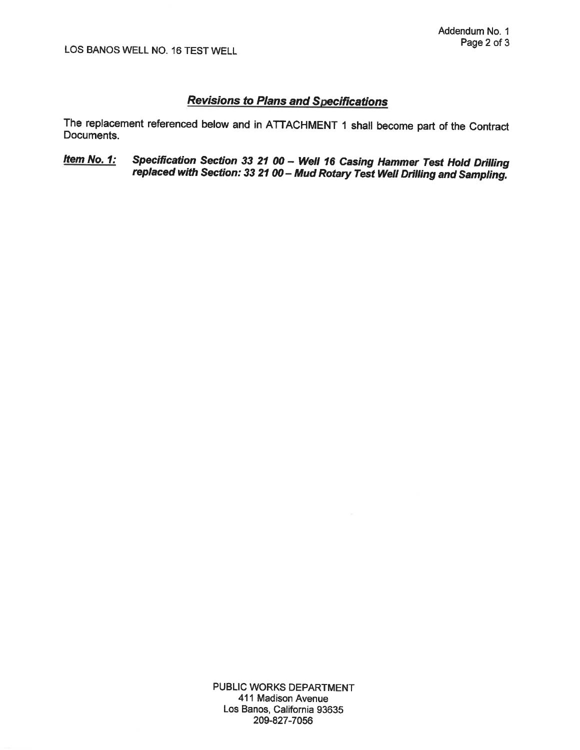# **Revisions to Plans and Specifications**

The replacement referenced below and in ATTACHMENT 1 shall become part of the Contract Documents.

Specification Section 33 21 00 - Well 16 Casing Hammer Test Hold Drilling<br>replaced with Section: 33 21 00 - Mud Rotary Test Well Drilling and Sampling. Item No. 1: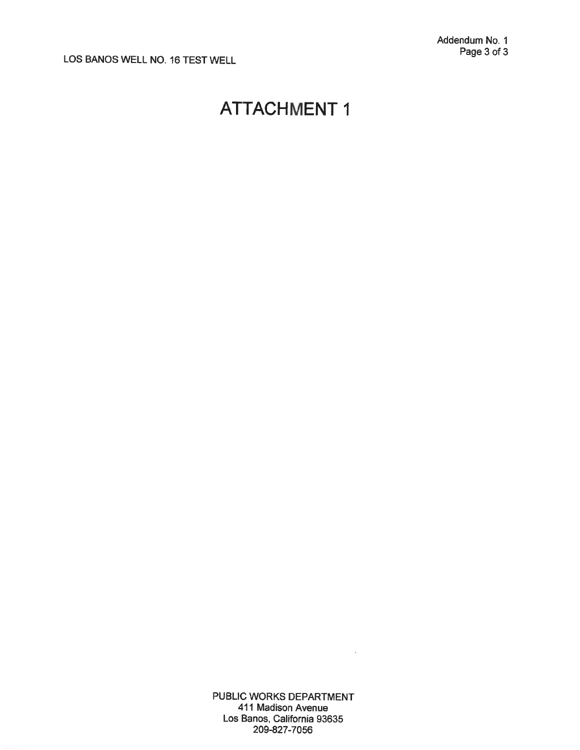LOS BANOS WELL NO. 16 TEST WELL

# **ATTACHMENT 1**

PUBLIC WORKS DEPARTMENT 411 Madison Avenue Los Banos, California 93635 209-827-7056

 $\sim$   $\sim$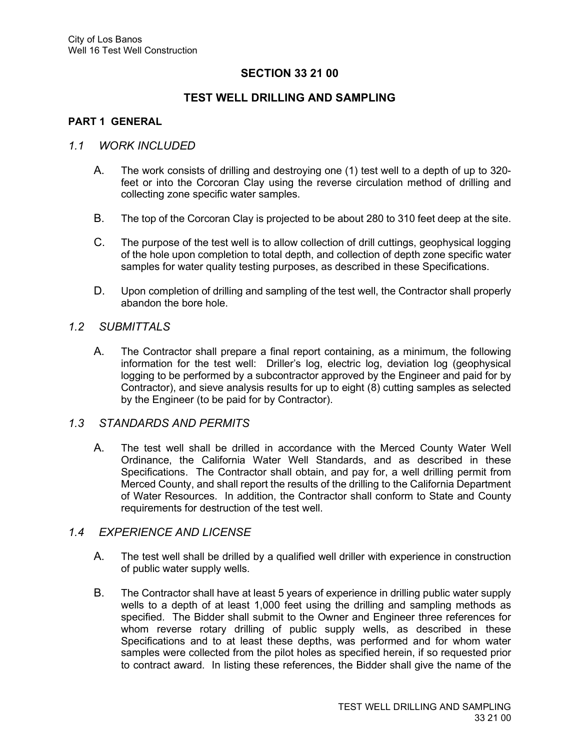## SECTION 33 21 00

# TEST WELL DRILLING AND SAMPLING

#### PART 1 GENERAL

#### 1.1 WORK INCLUDED

- A. The work consists of drilling and destroying one (1) test well to a depth of up to 320 feet or into the Corcoran Clay using the reverse circulation method of drilling and collecting zone specific water samples.
- B. The top of the Corcoran Clay is projected to be about 280 to 310 feet deep at the site.
- C. The purpose of the test well is to allow collection of drill cuttings, geophysical logging of the hole upon completion to total depth, and collection of depth zone specific water samples for water quality testing purposes, as described in these Specifications.
- D. Upon completion of drilling and sampling of the test well, the Contractor shall properly abandon the bore hole.

#### 1.2 SUBMITTALS

A. The Contractor shall prepare a final report containing, as a minimum, the following information for the test well: Driller's log, electric log, deviation log (geophysical logging to be performed by a subcontractor approved by the Engineer and paid for by Contractor), and sieve analysis results for up to eight (8) cutting samples as selected by the Engineer (to be paid for by Contractor).

#### 1.3 STANDARDS AND PERMITS

A. The test well shall be drilled in accordance with the Merced County Water Well Ordinance, the California Water Well Standards, and as described in these Specifications. The Contractor shall obtain, and pay for, a well drilling permit from Merced County, and shall report the results of the drilling to the California Department of Water Resources. In addition, the Contractor shall conform to State and County requirements for destruction of the test well.

#### 1.4 EXPERIENCE AND LICENSE

- A. The test well shall be drilled by a qualified well driller with experience in construction of public water supply wells.
- B. The Contractor shall have at least 5 years of experience in drilling public water supply wells to a depth of at least 1,000 feet using the drilling and sampling methods as specified. The Bidder shall submit to the Owner and Engineer three references for whom reverse rotary drilling of public supply wells, as described in these Specifications and to at least these depths, was performed and for whom water samples were collected from the pilot holes as specified herein, if so requested prior to contract award. In listing these references, the Bidder shall give the name of the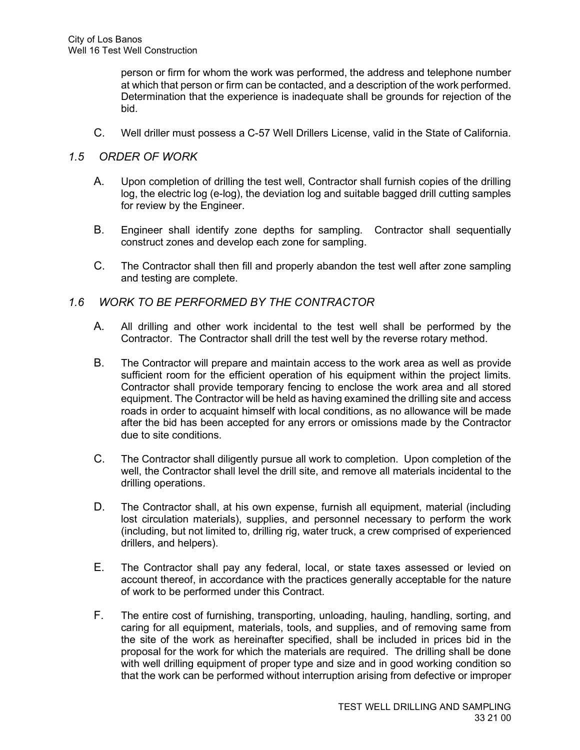person or firm for whom the work was performed, the address and telephone number at which that person or firm can be contacted, and a description of the work performed. Determination that the experience is inadequate shall be grounds for rejection of the bid.

C. Well driller must possess a C-57 Well Drillers License, valid in the State of California.

### 1.5 ORDER OF WORK

- A. Upon completion of drilling the test well, Contractor shall furnish copies of the drilling log, the electric log (e-log), the deviation log and suitable bagged drill cutting samples for review by the Engineer.
- B. Engineer shall identify zone depths for sampling. Contractor shall sequentially construct zones and develop each zone for sampling.
- C. The Contractor shall then fill and properly abandon the test well after zone sampling and testing are complete.

## 1.6 WORK TO BE PERFORMED BY THE CONTRACTOR

- A. All drilling and other work incidental to the test well shall be performed by the Contractor. The Contractor shall drill the test well by the reverse rotary method.
- B. The Contractor will prepare and maintain access to the work area as well as provide sufficient room for the efficient operation of his equipment within the project limits. Contractor shall provide temporary fencing to enclose the work area and all stored equipment. The Contractor will be held as having examined the drilling site and access roads in order to acquaint himself with local conditions, as no allowance will be made after the bid has been accepted for any errors or omissions made by the Contractor due to site conditions.
- C. The Contractor shall diligently pursue all work to completion. Upon completion of the well, the Contractor shall level the drill site, and remove all materials incidental to the drilling operations.
- D. The Contractor shall, at his own expense, furnish all equipment, material (including lost circulation materials), supplies, and personnel necessary to perform the work (including, but not limited to, drilling rig, water truck, a crew comprised of experienced drillers, and helpers).
- E. The Contractor shall pay any federal, local, or state taxes assessed or levied on account thereof, in accordance with the practices generally acceptable for the nature of work to be performed under this Contract.
- F. The entire cost of furnishing, transporting, unloading, hauling, handling, sorting, and caring for all equipment, materials, tools, and supplies, and of removing same from the site of the work as hereinafter specified, shall be included in prices bid in the proposal for the work for which the materials are required. The drilling shall be done with well drilling equipment of proper type and size and in good working condition so that the work can be performed without interruption arising from defective or improper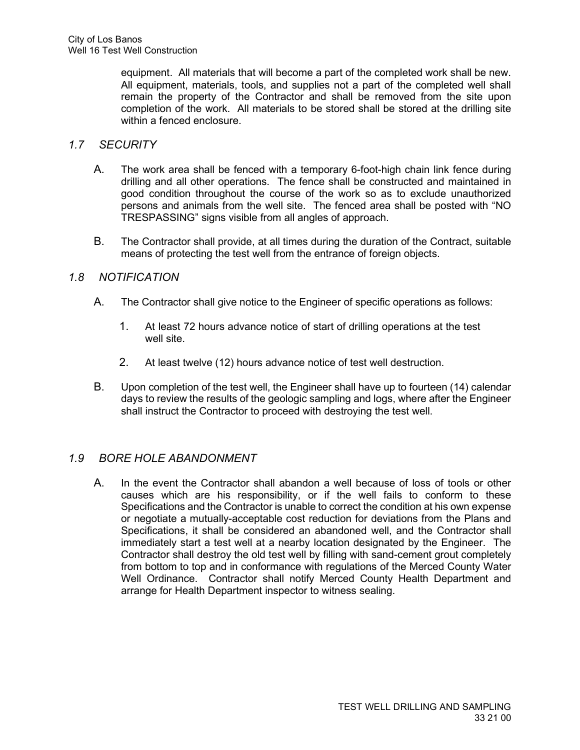equipment. All materials that will become a part of the completed work shall be new. All equipment, materials, tools, and supplies not a part of the completed well shall remain the property of the Contractor and shall be removed from the site upon completion of the work. All materials to be stored shall be stored at the drilling site within a fenced enclosure.

## 1.7 SECURITY

- A. The work area shall be fenced with a temporary 6-foot-high chain link fence during drilling and all other operations. The fence shall be constructed and maintained in good condition throughout the course of the work so as to exclude unauthorized persons and animals from the well site. The fenced area shall be posted with "NO TRESPASSING" signs visible from all angles of approach.
- B. The Contractor shall provide, at all times during the duration of the Contract, suitable means of protecting the test well from the entrance of foreign objects.

## 1.8 NOTIFICATION

- A. The Contractor shall give notice to the Engineer of specific operations as follows:
	- 1. At least 72 hours advance notice of start of drilling operations at the test well site.
	- 2. At least twelve (12) hours advance notice of test well destruction.
- B. Upon completion of the test well, the Engineer shall have up to fourteen (14) calendar days to review the results of the geologic sampling and logs, where after the Engineer shall instruct the Contractor to proceed with destroying the test well.

## 1.9 BORE HOLE ABANDONMENT

A. In the event the Contractor shall abandon a well because of loss of tools or other causes which are his responsibility, or if the well fails to conform to these Specifications and the Contractor is unable to correct the condition at his own expense or negotiate a mutually-acceptable cost reduction for deviations from the Plans and Specifications, it shall be considered an abandoned well, and the Contractor shall immediately start a test well at a nearby location designated by the Engineer. The Contractor shall destroy the old test well by filling with sand-cement grout completely from bottom to top and in conformance with regulations of the Merced County Water Well Ordinance. Contractor shall notify Merced County Health Department and arrange for Health Department inspector to witness sealing.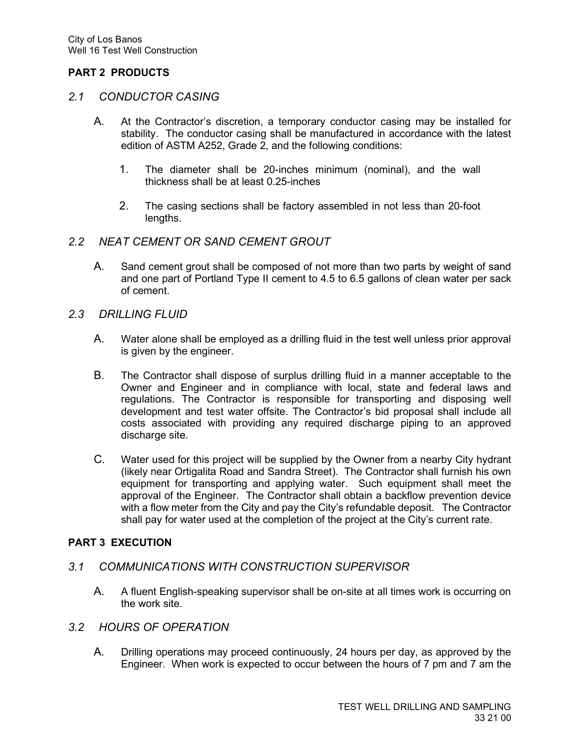## PART 2 PRODUCTS

#### 2.1 CONDUCTOR CASING

- A. At the Contractor's discretion, a temporary conductor casing may be installed for stability. The conductor casing shall be manufactured in accordance with the latest edition of ASTM A252, Grade 2, and the following conditions:
	- 1. The diameter shall be 20-inches minimum (nominal), and the wall thickness shall be at least 0.25-inches
	- 2. The casing sections shall be factory assembled in not less than 20-foot lengths.

### 2.2 NEAT CEMENT OR SAND CEMENT GROUT

A. Sand cement grout shall be composed of not more than two parts by weight of sand and one part of Portland Type II cement to 4.5 to 6.5 gallons of clean water per sack of cement.

#### 2.3 DRILLING FLUID

- A. Water alone shall be employed as a drilling fluid in the test well unless prior approval is given by the engineer.
- B. The Contractor shall dispose of surplus drilling fluid in a manner acceptable to the Owner and Engineer and in compliance with local, state and federal laws and regulations. The Contractor is responsible for transporting and disposing well development and test water offsite. The Contractor's bid proposal shall include all costs associated with providing any required discharge piping to an approved discharge site.
- C. Water used for this project will be supplied by the Owner from a nearby City hydrant (likely near Ortigalita Road and Sandra Street). The Contractor shall furnish his own equipment for transporting and applying water. Such equipment shall meet the approval of the Engineer. The Contractor shall obtain a backflow prevention device with a flow meter from the City and pay the City's refundable deposit. The Contractor shall pay for water used at the completion of the project at the City's current rate.

#### PART 3 EXECUTION

#### 3.1 COMMUNICATIONS WITH CONSTRUCTION SUPERVISOR

A. A fluent English-speaking supervisor shall be on-site at all times work is occurring on the work site.

# 3.2 HOURS OF OPERATION

A. Drilling operations may proceed continuously, 24 hours per day, as approved by the Engineer. When work is expected to occur between the hours of 7 pm and 7 am the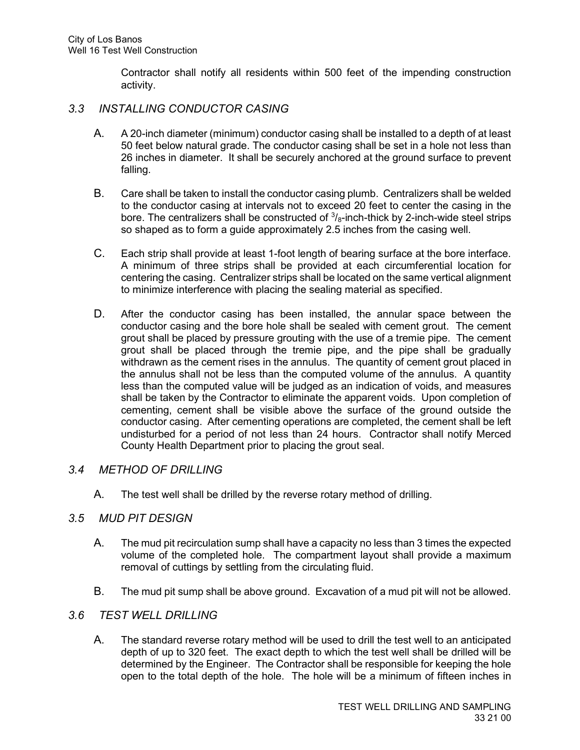Contractor shall notify all residents within 500 feet of the impending construction activity.

## 3.3 INSTALLING CONDUCTOR CASING

- A. A 20-inch diameter (minimum) conductor casing shall be installed to a depth of at least 50 feet below natural grade. The conductor casing shall be set in a hole not less than 26 inches in diameter. It shall be securely anchored at the ground surface to prevent falling.
- B. Care shall be taken to install the conductor casing plumb. Centralizers shall be welded to the conductor casing at intervals not to exceed 20 feet to center the casing in the bore. The centralizers shall be constructed of  $\frac{3}{6}$ -inch-thick by 2-inch-wide steel strips so shaped as to form a guide approximately 2.5 inches from the casing well.
- C. Each strip shall provide at least 1-foot length of bearing surface at the bore interface. A minimum of three strips shall be provided at each circumferential location for centering the casing. Centralizer strips shall be located on the same vertical alignment to minimize interference with placing the sealing material as specified.
- D. After the conductor casing has been installed, the annular space between the conductor casing and the bore hole shall be sealed with cement grout. The cement grout shall be placed by pressure grouting with the use of a tremie pipe. The cement grout shall be placed through the tremie pipe, and the pipe shall be gradually withdrawn as the cement rises in the annulus. The quantity of cement grout placed in the annulus shall not be less than the computed volume of the annulus. A quantity less than the computed value will be judged as an indication of voids, and measures shall be taken by the Contractor to eliminate the apparent voids. Upon completion of cementing, cement shall be visible above the surface of the ground outside the conductor casing. After cementing operations are completed, the cement shall be left undisturbed for a period of not less than 24 hours. Contractor shall notify Merced County Health Department prior to placing the grout seal.

#### 3.4 METHOD OF DRILLING

A. The test well shall be drilled by the reverse rotary method of drilling.

## 3.5 MUD PIT DESIGN

- A. The mud pit recirculation sump shall have a capacity no less than 3 times the expected volume of the completed hole. The compartment layout shall provide a maximum removal of cuttings by settling from the circulating fluid.
- B. The mud pit sump shall be above ground. Excavation of a mud pit will not be allowed.

#### 3.6 TEST WELL DRILLING

A. The standard reverse rotary method will be used to drill the test well to an anticipated depth of up to 320 feet. The exact depth to which the test well shall be drilled will be determined by the Engineer. The Contractor shall be responsible for keeping the hole open to the total depth of the hole. The hole will be a minimum of fifteen inches in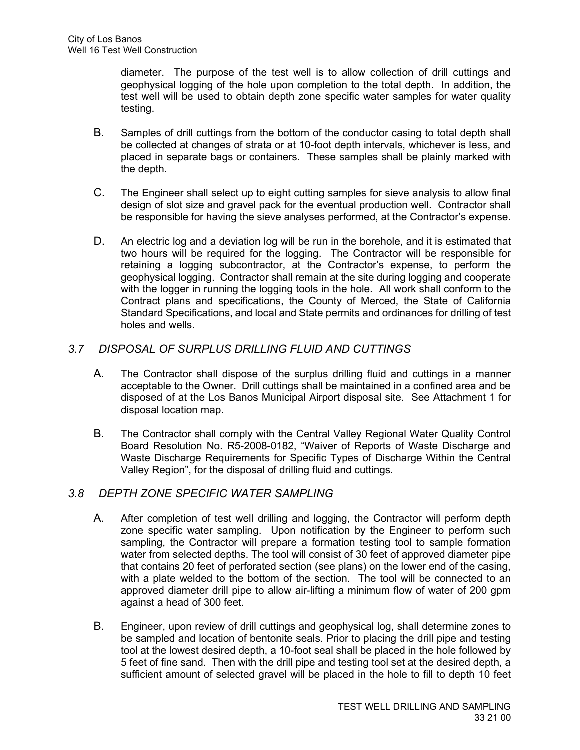diameter. The purpose of the test well is to allow collection of drill cuttings and geophysical logging of the hole upon completion to the total depth. In addition, the test well will be used to obtain depth zone specific water samples for water quality testing.

- B. Samples of drill cuttings from the bottom of the conductor casing to total depth shall be collected at changes of strata or at 10-foot depth intervals, whichever is less, and placed in separate bags or containers. These samples shall be plainly marked with the depth.
- C. The Engineer shall select up to eight cutting samples for sieve analysis to allow final design of slot size and gravel pack for the eventual production well. Contractor shall be responsible for having the sieve analyses performed, at the Contractor's expense.
- D. An electric log and a deviation log will be run in the borehole, and it is estimated that two hours will be required for the logging. The Contractor will be responsible for retaining a logging subcontractor, at the Contractor's expense, to perform the geophysical logging. Contractor shall remain at the site during logging and cooperate with the logger in running the logging tools in the hole. All work shall conform to the Contract plans and specifications, the County of Merced, the State of California Standard Specifications, and local and State permits and ordinances for drilling of test holes and wells.

## 3.7 DISPOSAL OF SURPLUS DRILLING FLUID AND CUTTINGS

- A. The Contractor shall dispose of the surplus drilling fluid and cuttings in a manner acceptable to the Owner. Drill cuttings shall be maintained in a confined area and be disposed of at the Los Banos Municipal Airport disposal site. See Attachment 1 for disposal location map.
- B. The Contractor shall comply with the Central Valley Regional Water Quality Control Board Resolution No. R5-2008-0182, "Waiver of Reports of Waste Discharge and Waste Discharge Requirements for Specific Types of Discharge Within the Central Valley Region", for the disposal of drilling fluid and cuttings.

## 3.8 DEPTH ZONE SPECIFIC WATER SAMPLING

- A. After completion of test well drilling and logging, the Contractor will perform depth zone specific water sampling. Upon notification by the Engineer to perform such sampling, the Contractor will prepare a formation testing tool to sample formation water from selected depths. The tool will consist of 30 feet of approved diameter pipe that contains 20 feet of perforated section (see plans) on the lower end of the casing, with a plate welded to the bottom of the section. The tool will be connected to an approved diameter drill pipe to allow air-lifting a minimum flow of water of 200 gpm against a head of 300 feet.
- B. Engineer, upon review of drill cuttings and geophysical log, shall determine zones to be sampled and location of bentonite seals. Prior to placing the drill pipe and testing tool at the lowest desired depth, a 10-foot seal shall be placed in the hole followed by 5 feet of fine sand. Then with the drill pipe and testing tool set at the desired depth, a sufficient amount of selected gravel will be placed in the hole to fill to depth 10 feet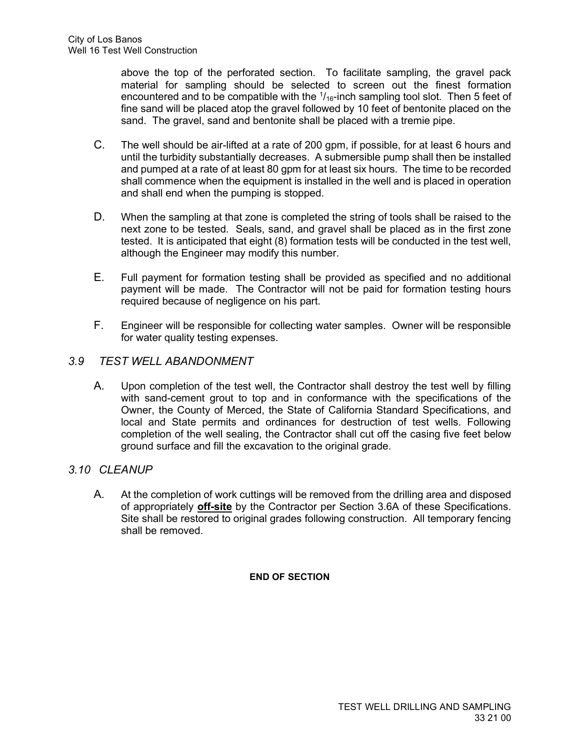above the top of the perforated section. To facilitate sampling, the gravel pack material for sampling should be selected to screen out the finest formation encountered and to be compatible with the  $1/16$ -inch sampling tool slot. Then 5 feet of fine sand will be placed atop the gravel followed by 10 feet of bentonite placed on the sand. The gravel, sand and bentonite shall be placed with a tremie pipe.

- C. The well should be air-lifted at a rate of 200 gpm, if possible, for at least 6 hours and until the turbidity substantially decreases. A submersible pump shall then be installed and pumped at a rate of at least 80 gpm for at least six hours. The time to be recorded shall commence when the equipment is installed in the well and is placed in operation and shall end when the pumping is stopped.
- D. When the sampling at that zone is completed the string of tools shall be raised to the next zone to be tested. Seals, sand, and gravel shall be placed as in the first zone tested. It is anticipated that eight (8) formation tests will be conducted in the test well, although the Engineer may modify this number.
- E. Full payment for formation testing shall be provided as specified and no additional payment will be made. The Contractor will not be paid for formation testing hours required because of negligence on his part.
- F. Engineer will be responsible for collecting water samples. Owner will be responsible for water quality testing expenses.

## 3.9 TEST WELL ABANDONMENT

A. Upon completion of the test well, the Contractor shall destroy the test well by filling with sand-cement grout to top and in conformance with the specifications of the Owner, the County of Merced, the State of California Standard Specifications, and local and State permits and ordinances for destruction of test wells. Following completion of the well sealing, the Contractor shall cut off the casing five feet below ground surface and fill the excavation to the original grade.

## 3.10 CLEANUP

A. At the completion of work cuttings will be removed from the drilling area and disposed of appropriately off-site by the Contractor per Section 3.6A of these Specifications. Site shall be restored to original grades following construction. All temporary fencing shall be removed.

END OF SECTION